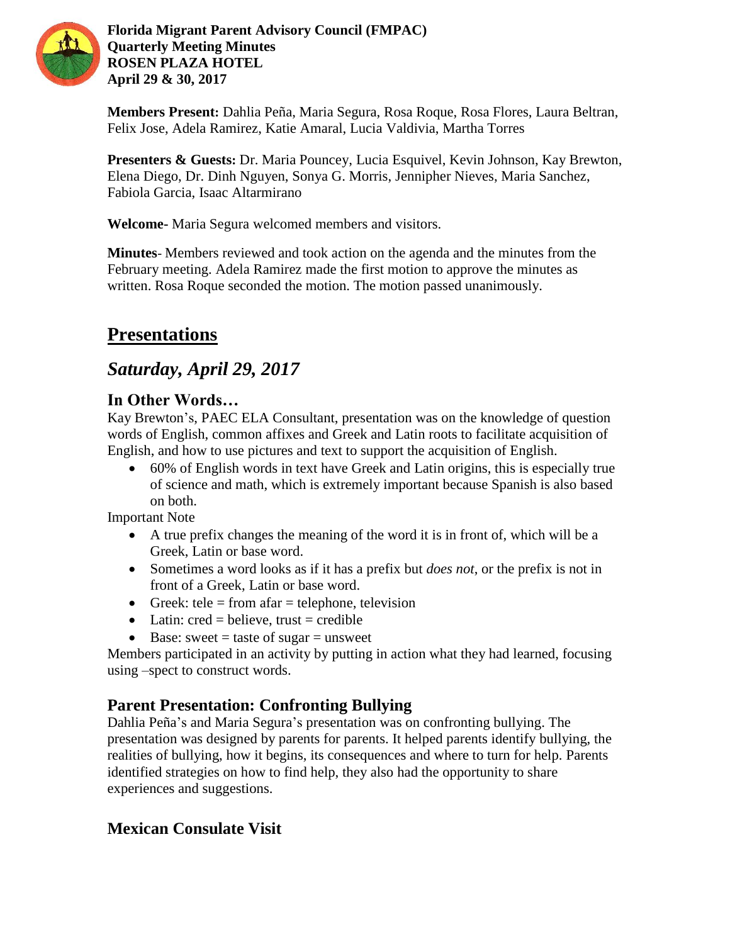

**Florida Migrant Parent Advisory Council (FMPAC) Quarterly Meeting Minutes ROSEN PLAZA HOTEL April 29 & 30, 2017**

**Members Present:** Dahlia Peña, Maria Segura, Rosa Roque, Rosa Flores, Laura Beltran, Felix Jose, Adela Ramirez, Katie Amaral, Lucia Valdivia, Martha Torres

**Presenters & Guests:** Dr. Maria Pouncey, Lucia Esquivel, Kevin Johnson, Kay Brewton, Elena Diego, Dr. Dinh Nguyen, Sonya G. Morris, Jennipher Nieves, Maria Sanchez, Fabiola Garcia, Isaac Altarmirano

**Welcome-** Maria Segura welcomed members and visitors.

**Minutes**- Members reviewed and took action on the agenda and the minutes from the February meeting. Adela Ramirez made the first motion to approve the minutes as written. Rosa Roque seconded the motion. The motion passed unanimously.

# **Presentations**

## *Saturday, April 29, 2017*

### **In Other Words…**

Kay Brewton's, PAEC ELA Consultant, presentation was on the knowledge of question words of English, common affixes and Greek and Latin roots to facilitate acquisition of English, and how to use pictures and text to support the acquisition of English.

 60% of English words in text have Greek and Latin origins, this is especially true of science and math, which is extremely important because Spanish is also based on both.

Important Note

- A true prefix changes the meaning of the word it is in front of, which will be a Greek, Latin or base word.
- Sometimes a word looks as if it has a prefix but *does not*, or the prefix is not in front of a Greek, Latin or base word.
- Greek: tele = from afar = telephone, television
- Latin:  $\text{cred} = \text{believe}, \text{ trust} = \text{credible}$
- $\bullet$  Base: sweet = taste of sugar = unsweet

Members participated in an activity by putting in action what they had learned, focusing using –spect to construct words.

### **Parent Presentation: Confronting Bullying**

Dahlia Peña's and Maria Segura's presentation was on confronting bullying. The presentation was designed by parents for parents. It helped parents identify bullying, the realities of bullying, how it begins, its consequences and where to turn for help. Parents identified strategies on how to find help, they also had the opportunity to share experiences and suggestions.

## **Mexican Consulate Visit**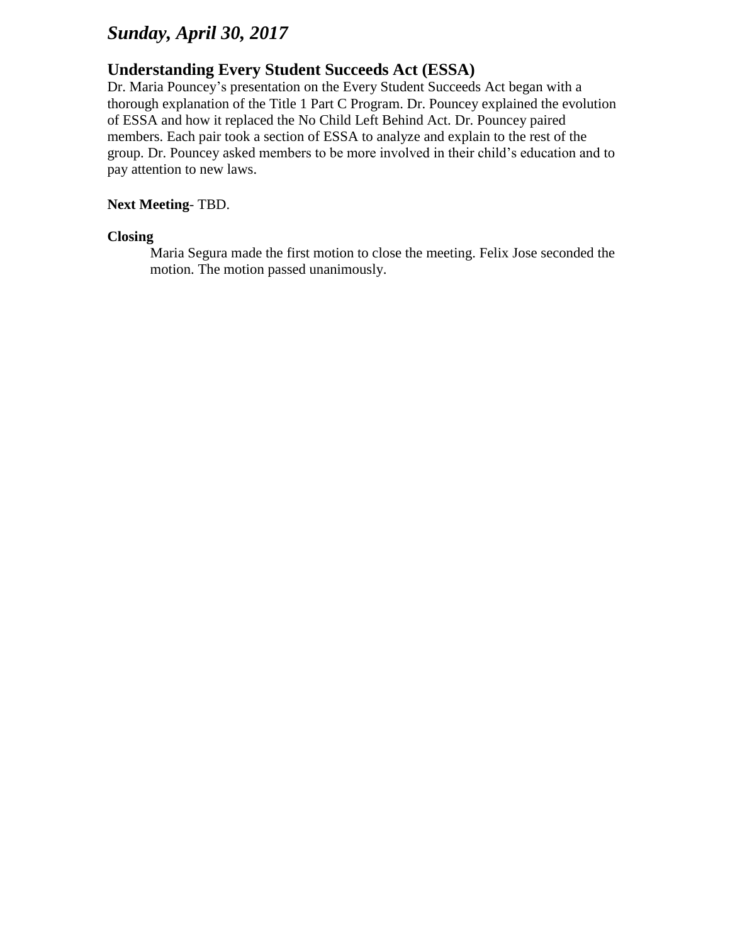## *Sunday, April 30, 2017*

#### **Understanding Every Student Succeeds Act (ESSA)**

Dr. Maria Pouncey's presentation on the Every Student Succeeds Act began with a thorough explanation of the Title 1 Part C Program. Dr. Pouncey explained the evolution of ESSA and how it replaced the No Child Left Behind Act. Dr. Pouncey paired members. Each pair took a section of ESSA to analyze and explain to the rest of the group. Dr. Pouncey asked members to be more involved in their child's education and to pay attention to new laws.

#### **Next Meeting**- TBD.

#### **Closing**

Maria Segura made the first motion to close the meeting. Felix Jose seconded the motion. The motion passed unanimously.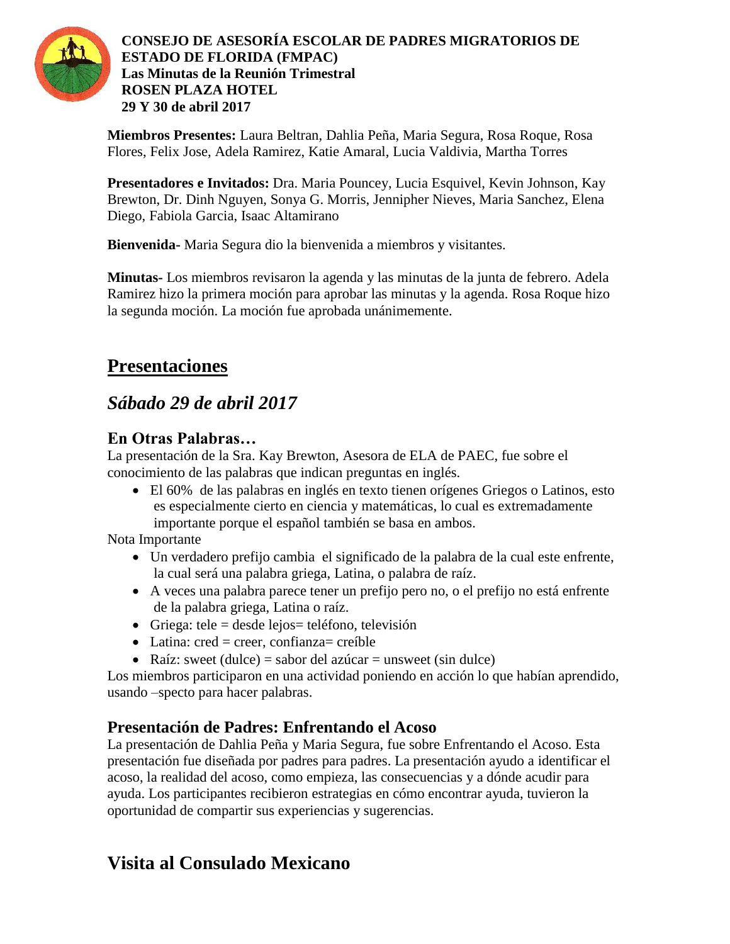

**Miembros Presentes:** Laura Beltran, Dahlia Peña, Maria Segura, Rosa Roque, Rosa Flores, Felix Jose, Adela Ramirez, Katie Amaral, Lucia Valdivia, Martha Torres

**Presentadores e Invitados:** Dra. Maria Pouncey, Lucia Esquivel, Kevin Johnson, Kay Brewton, Dr. Dinh Nguyen, Sonya G. Morris, Jennipher Nieves, Maria Sanchez, Elena Diego, Fabiola Garcia, Isaac Altamirano

**Bienvenida-** Maria Segura dio la bienvenida a miembros y visitantes.

**Minutas-** Los miembros revisaron la agenda y las minutas de la junta de febrero. Adela Ramirez hizo la primera moción para aprobar las minutas y la agenda. Rosa Roque hizo la segunda moción. La moción fue aprobada unánimemente.

# **Presentaciones**

# *Sábado 29 de abril 2017*

### **En Otras Palabras…**

La presentación de la Sra. Kay Brewton, Asesora de ELA de PAEC, fue sobre el conocimiento de las palabras que indican preguntas en inglés.

 El 60% de las palabras en inglés en texto tienen orígenes Griegos o Latinos, esto es especialmente cierto en ciencia y matemáticas, lo cual es extremadamente importante porque el español también se basa en ambos.

Nota Importante

- Un verdadero prefijo cambia el significado de la palabra de la cual este enfrente, la cual será una palabra griega, Latina, o palabra de raíz.
- A veces una palabra parece tener un prefijo pero no, o el prefijo no está enfrente de la palabra griega, Latina o raíz.
- Griega: tele = desde lejos = teléfono, televisión
- $\bullet$  Latina: cred = creer, confianza= creíble
- Raíz: sweet (dulce) = sabor del azúcar = unsweet (sin dulce)

Los miembros participaron en una actividad poniendo en acción lo que habían aprendido, usando –specto para hacer palabras.

## **Presentación de Padres: Enfrentando el Acoso**

La presentación de Dahlia Peña y Maria Segura, fue sobre Enfrentando el Acoso. Esta presentación fue diseñada por padres para padres. La presentación ayudo a identificar el acoso, la realidad del acoso, como empieza, las consecuencias y a dónde acudir para ayuda. Los participantes recibieron estrategias en cómo encontrar ayuda, tuvieron la oportunidad de compartir sus experiencias y sugerencias.

# **Visita al Consulado Mexicano**